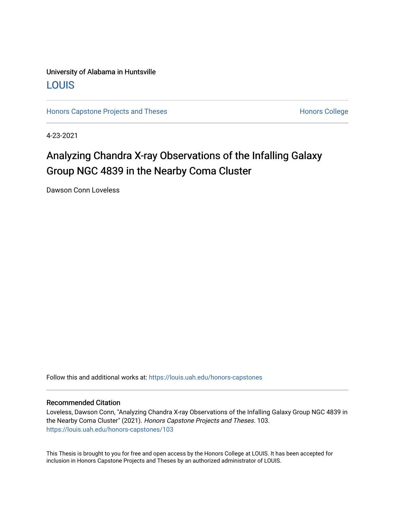### University of Alabama in Huntsville [LOUIS](https://louis.uah.edu/)

[Honors Capstone Projects and Theses](https://louis.uah.edu/honors-capstones) **Honors College** Honors College

4-23-2021

## Analyzing Chandra X-ray Observations of the Infalling Galaxy Group NGC 4839 in the Nearby Coma Cluster

Dawson Conn Loveless

Follow this and additional works at: [https://louis.uah.edu/honors-capstones](https://louis.uah.edu/honors-capstones?utm_source=louis.uah.edu%2Fhonors-capstones%2F103&utm_medium=PDF&utm_campaign=PDFCoverPages) 

#### Recommended Citation

Loveless, Dawson Conn, "Analyzing Chandra X-ray Observations of the Infalling Galaxy Group NGC 4839 in the Nearby Coma Cluster" (2021). Honors Capstone Projects and Theses. 103. [https://louis.uah.edu/honors-capstones/103](https://louis.uah.edu/honors-capstones/103?utm_source=louis.uah.edu%2Fhonors-capstones%2F103&utm_medium=PDF&utm_campaign=PDFCoverPages) 

This Thesis is brought to you for free and open access by the Honors College at LOUIS. It has been accepted for inclusion in Honors Capstone Projects and Theses by an authorized administrator of LOUIS.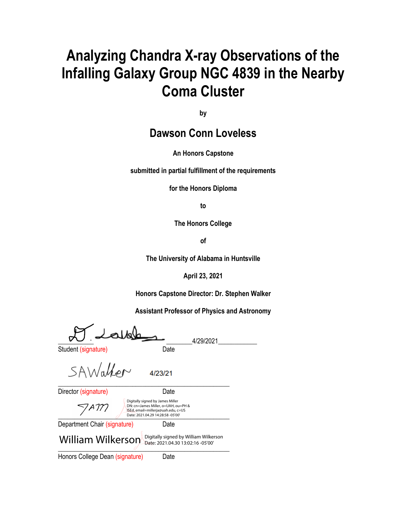# **Analyzing Chandra X-ray Observations of the Infalling Galaxy Group NGC 4839 in the Nearby Coma Cluster**

**by**

## **Dawson Conn Loveless**

#### **An Honors Capstone**

**submitted in partial fulfillment of the requirements** 

**for the Honors Diploma**

**to** 

**The Honors College** 

**of** 

**The University of Alabama in Huntsville**

**April 23, 2021**

**Honors Capstone Director: Dr. Stephen Walker**

**Assistant Professor of Physics and Astronomy**

\_\_\_\_\_\_\_\_\_\_\_ \_\_\_\_\_\_\_\_4/29/2021\_\_\_\_\_\_\_\_\_\_\_\_

Student (signature) and Date

SAWalter \_\_\_\_\_\_\_\_\_\_\_\_\_\_\_\_\_\_\_\_\_\_\_\_\_\_\_\_\_\_\_\_\_\_\_\_\_\_\_\_\_\_\_\_\_\_\_\_\_\_\_\_\_

4/23/21

Director (signature) Date

Digitally signed by James Miller DN: cn=James Miller, o=UAH, ou=PH & 7 A I T ISEd, email=millerja@uah.edu, c=US \_\_\_\_\_\_\_\_\_\_\_\_\_\_\_\_\_\_\_\_\_\_\_\_\_\_\_\_\_\_\_\_\_\_\_\_\_\_\_\_\_\_\_\_\_\_\_\_\_\_\_\_\_ Date: 2021.04.29 14:28:58 -05'00'

Department Chair (signature) Date

 $\overline{\phantom{a}}$  $\textbf{William Wilkerson}_{\textbf{Date: 2021.04.30 13:02:16-05'00'}}$ 

Honors College Dean (signature) Date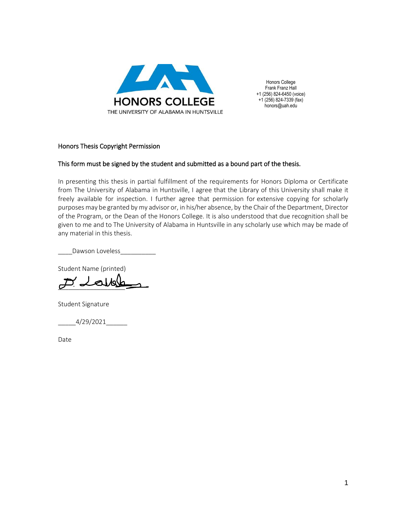

Honors College Frank Franz Hall +1 (256) 824-6450 (voice) +1 (256) 824-7339 (fax) honors@uah.edu

#### Honors Thesis Copyright Permission

#### This form must be signed by the student and submitted as a bound part of the thesis.

In presenting this thesis in partial fulfillment of the requirements for Honors Diploma or Certificate from The University of Alabama in Huntsville, I agree that the Library of this University shall make it freely available for inspection. I further agree that permission for extensive copying for scholarly purposes may be granted by my advisor or, in his/her absence, by the Chair of the Department, Director of the Program, or the Dean of the Honors College. It is also understood that due recognition shall be given to me and to The University of Alabama in Huntsville in any scholarly use which may be made of any material in this thesis.

Dawson Loveless\_

Student Name (printed)

 $\cancel{\mathcal{D}}$  della

Student Signature

\_\_\_\_\_4/29/2021\_\_\_\_\_\_

Date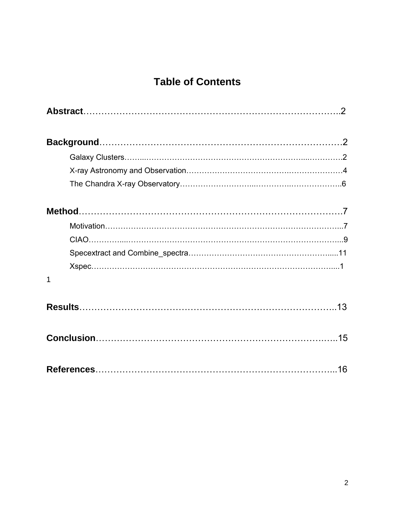## **Table of Contents**

| 1 |  |
|---|--|
|   |  |
|   |  |
|   |  |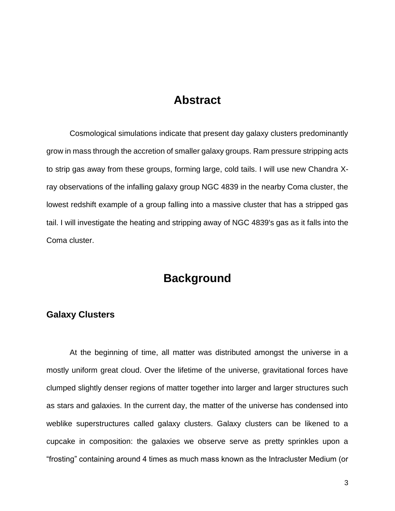### **Abstract**

Cosmological simulations indicate that present day galaxy clusters predominantly grow in mass through the accretion of smaller galaxy groups. Ram pressure stripping acts to strip gas away from these groups, forming large, cold tails. I will use new Chandra Xray observations of the infalling galaxy group NGC 4839 in the nearby Coma cluster, the lowest redshift example of a group falling into a massive cluster that has a stripped gas tail. I will investigate the heating and stripping away of NGC 4839's gas as it falls into the Coma cluster.

## **Background**

#### **Galaxy Clusters**

At the beginning of time, all matter was distributed amongst the universe in a mostly uniform great cloud. Over the lifetime of the universe, gravitational forces have clumped slightly denser regions of matter together into larger and larger structures such as stars and galaxies. In the current day, the matter of the universe has condensed into weblike superstructures called galaxy clusters. Galaxy clusters can be likened to a cupcake in composition: the galaxies we observe serve as pretty sprinkles upon a "frosting" containing around 4 times as much mass known as the Intracluster Medium (or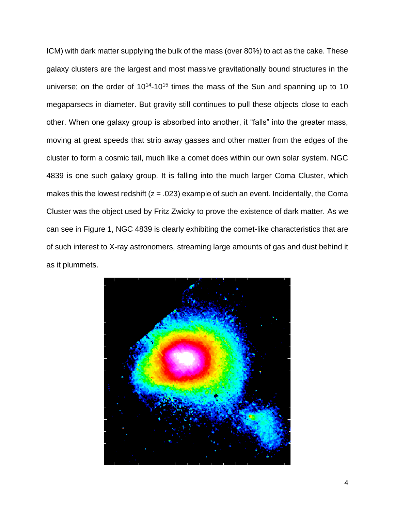ICM) with dark matter supplying the bulk of the mass (over 80%) to act as the cake. These galaxy clusters are the largest and most massive gravitationally bound structures in the universe; on the order of  $10^{14}$ -10<sup>15</sup> times the mass of the Sun and spanning up to 10 megaparsecs in diameter. But gravity still continues to pull these objects close to each other. When one galaxy group is absorbed into another, it "falls" into the greater mass, moving at great speeds that strip away gasses and other matter from the edges of the cluster to form a cosmic tail, much like a comet does within our own solar system. NGC 4839 is one such galaxy group. It is falling into the much larger Coma Cluster, which makes this the lowest redshift  $(z = .023)$  example of such an event. Incidentally, the Coma Cluster was the object used by Fritz Zwicky to prove the existence of dark matter. As we can see in Figure 1, NGC 4839 is clearly exhibiting the comet-like characteristics that are of such interest to X-ray astronomers, streaming large amounts of gas and dust behind it as it plummets.

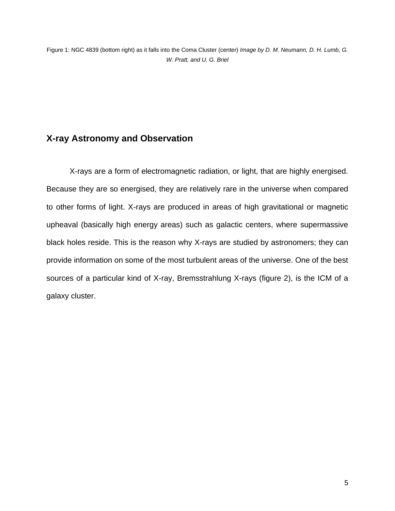### **X-ray Astronomy and Observation**

X-rays are a form of electromagnetic radiation, or light, that are highly energised. Because they are so energised, they are relatively rare in the universe when compared to other forms of light. X-rays are produced in areas of high gravitational or magnetic upheaval (basically high energy areas) such as galactic centers, where supermassive black holes reside. This is the reason why X-rays are studied by astronomers; they can provide information on some of the most turbulent areas of the universe. One of the best sources of a particular kind of X-ray, Bremsstrahlung X-rays (figure 2), is the ICM of a galaxy cluster.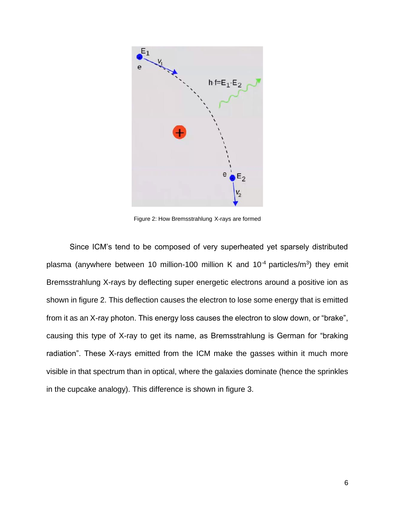

Figure 2: How Bremsstrahlung X-rays are formed

Since ICM's tend to be composed of very superheated yet sparsely distributed plasma (anywhere between 10 million-100 million K and 10<sup>-4</sup> particles/m<sup>3</sup>) they emit Bremsstrahlung X-rays by deflecting super energetic electrons around a positive ion as shown in figure 2. This deflection causes the electron to lose some energy that is emitted from it as an X-ray photon. This energy loss causes the electron to slow down, or "brake", causing this type of X-ray to get its name, as Bremsstrahlung is German for "braking radiation". These X-rays emitted from the ICM make the gasses within it much more visible in that spectrum than in optical, where the galaxies dominate (hence the sprinkles in the cupcake analogy). This difference is shown in figure 3.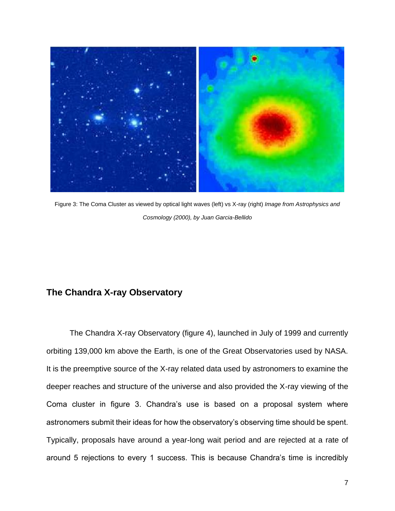

Figure 3: The Coma Cluster as viewed by optical light waves (left) vs X-ray (right) *Image from Astrophysics and Cosmology (2000), by Juan Garcia-Bellido*

### **The Chandra X-ray Observatory**

The Chandra X-ray Observatory (figure 4), launched in July of 1999 and currently orbiting 139,000 km above the Earth, is one of the Great Observatories used by NASA. It is the preemptive source of the X-ray related data used by astronomers to examine the deeper reaches and structure of the universe and also provided the X-ray viewing of the Coma cluster in figure 3. Chandra's use is based on a proposal system where astronomers submit their ideas for how the observatory's observing time should be spent. Typically, proposals have around a year-long wait period and are rejected at a rate of around 5 rejections to every 1 success. This is because Chandra's time is incredibly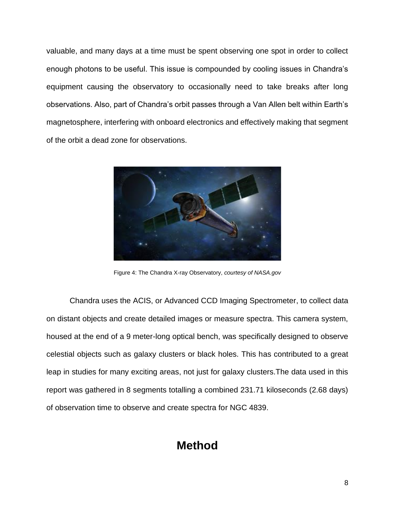valuable, and many days at a time must be spent observing one spot in order to collect enough photons to be useful. This issue is compounded by cooling issues in Chandra's equipment causing the observatory to occasionally need to take breaks after long observations. Also, part of Chandra's orbit passes through a Van Allen belt within Earth's magnetosphere, interfering with onboard electronics and effectively making that segment of the orbit a dead zone for observations.



Figure 4: The Chandra X-ray Observatory, *courtesy of NASA.gov*

Chandra uses the ACIS, or Advanced CCD Imaging Spectrometer, to collect data on distant objects and create detailed images or measure spectra. This camera system, housed at the end of a 9 meter-long optical bench, was specifically designed to observe celestial objects such as galaxy clusters or black holes. This has contributed to a great leap in studies for many exciting areas, not just for galaxy clusters.The data used in this report was gathered in 8 segments totalling a combined 231.71 kiloseconds (2.68 days) of observation time to observe and create spectra for NGC 4839.

## **Method**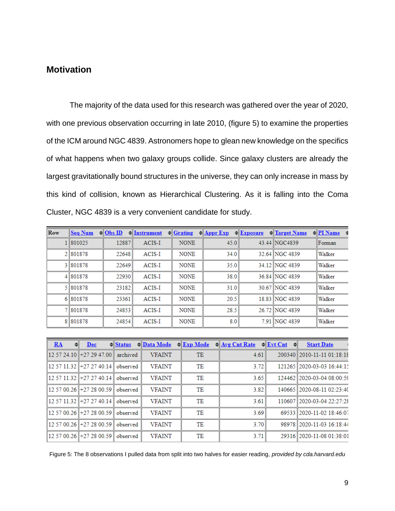### **Motivation**

The majority of the data used for this research was gathered over the year of 2020, with one previous observation occurring in late 2010, (figure 5) to examine the properties of the ICM around NGC 4839. Astronomers hope to glean new knowledge on the specifics of what happens when two galaxy groups collide. Since galaxy clusters are already the largest gravitationally bound structures in the universe, they can only increase in mass by this kind of collision, known as Hierarchical Clustering. As it is falling into the Coma Cluster, NGC 4839 is a very convenient candidate for study.

| Row | <b>Seq Num</b> | $\triangleq$ Obs ID | $\triangleq$ Instrument | $\triangleleft$ Grating | $\triangle$ <b>Appr Exp</b> | $=\sqrt{\frac{1}{2}$ Exposure | <b>H</b> Target Name | $=$ PI Name |
|-----|----------------|---------------------|-------------------------|-------------------------|-----------------------------|-------------------------------|----------------------|-------------|
|     | 801025         | 12887               | ACIS-I                  | <b>NONE</b>             | 45.0                        |                               | 43.44 NGC4839        | Forman      |
|     | 2 801878       | 22648               | ACIS-I                  | <b>NONE</b>             | 34.0                        |                               | 32.64 NGC 4839       | Walker      |
|     | 3 801878       | 22649               | ACIS-I                  | <b>NONE</b>             | 35.0                        |                               | 34.12 NGC 4839       | Walker      |
|     | 4 801878       | 22930               | <b>ACIS-I</b>           | <b>NONE</b>             | 38.0                        |                               | 36.84 NGC 4839       | Walker      |
|     | 5 801878       | 23182               | ACIS-I                  | <b>NONE</b>             | 31.0                        |                               | 30.67 NGC 4839       | Walker      |
|     | 6 801878       | 23361               | <b>ACIS-I</b>           | <b>NONE</b>             | 20.5                        |                               | 18.83 NGC 4839       | Walker      |
|     | 7 801878       | 24853               | ACIS-I                  | <b>NONE</b>             | 28.5                        |                               | 26.72 NGC 4839       | Walker      |
|     | 8 8 0 1 8 7 8  | 24854               | ACIS-I                  | <b>NONE</b>             | 8.0                         |                               | 7.91 NGC 4839        | Walker      |

| RA | Dec                         | $\triangleleft$ Status | ≑ Data Mode   | $\triangleleft$ Exp Mode | $\triangleleft$ <u>Avg Cnt Rate</u> | $\triangleq$ Evt Cnt<br>$\Rightarrow$ | <b>Start Date</b>          |
|----|-----------------------------|------------------------|---------------|--------------------------|-------------------------------------|---------------------------------------|----------------------------|
|    | 12 57 24 10   + 27 29 47 00 | archived               | <b>VFAINT</b> | TE                       | 4.61                                |                                       | 200340 2010-11-11 01:18:18 |
|    | 12 57 11 32    +27 27 40 14 | observed               | <b>VFAINT</b> | TE                       | 3.72                                |                                       | 121265 2020-03-03 16:44:15 |
|    | 12 57 11 32   +27 27 40 14  | observed               | <b>VFAINT</b> | TЕ                       | 3.65                                |                                       | 124462 2020-03-04 08:00:59 |
|    | 12 57 00.26   +27 28 00.59  | observed               | <b>VFAINT</b> | TE                       | 3.82                                |                                       | 140665 2020-08-11 02:23:40 |
|    | 12 57 11.32    +27 27 40.14 | observed               | <b>VFAINT</b> | TE                       | 3.61                                |                                       | 110607 2020-03-04 22:27:28 |
|    | 12 57 00.26   +27 28 00.59  | observed               | <b>VFAINT</b> | TE                       | 3.69                                |                                       | 69533 2020-11-02 18:46:07  |
|    | 12 57 00.26   +27 28 00.59  | observed               | <b>VFAINT</b> | TE                       | 3.70                                |                                       | 98978 2020-11-03 16:18:44  |
|    | 12 57 00.26    +27 28 00.59 | observed               | <b>VFAINT</b> | TE                       | 3.71                                |                                       | 29316 2020-11-08 01:38:01  |

Figure 5: The 8 observations I pulled data from split into two halves for easier reading, *provided by cda.harvard.edu*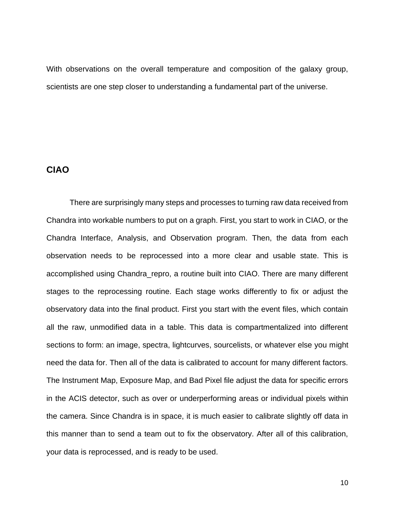With observations on the overall temperature and composition of the galaxy group, scientists are one step closer to understanding a fundamental part of the universe.

### **CIAO**

There are surprisingly many steps and processes to turning raw data received from Chandra into workable numbers to put on a graph. First, you start to work in CIAO, or the Chandra Interface, Analysis, and Observation program. Then, the data from each observation needs to be reprocessed into a more clear and usable state. This is accomplished using Chandra repro, a routine built into CIAO. There are many different stages to the reprocessing routine. Each stage works differently to fix or adjust the observatory data into the final product. First you start with the event files, which contain all the raw, unmodified data in a table. This data is compartmentalized into different sections to form: an image, spectra, lightcurves, sourcelists, or whatever else you might need the data for. Then all of the data is calibrated to account for many different factors. The Instrument Map, Exposure Map, and Bad Pixel file adjust the data for specific errors in the ACIS detector, such as over or underperforming areas or individual pixels within the camera. Since Chandra is in space, it is much easier to calibrate slightly off data in this manner than to send a team out to fix the observatory. After all of this calibration, your data is reprocessed, and is ready to be used.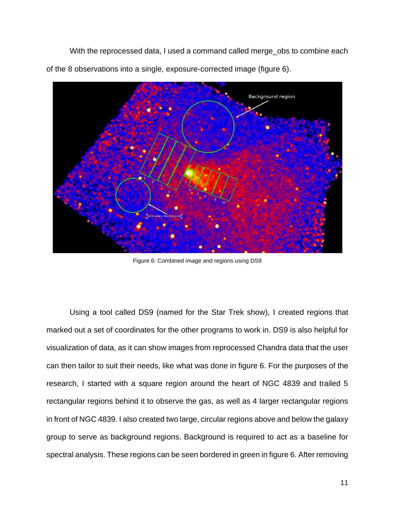With the reprocessed data, I used a command called merge\_obs to combine each of the 8 observations into a single, exposure-corrected image (figure 6).



Figure 6: Combined image and regions using DS9

Using a tool called DS9 (named for the Star Trek show), I created regions that marked out a set of coordinates for the other programs to work in. DS9 is also helpful for visualization of data, as it can show images from reprocessed Chandra data that the user can then tailor to suit their needs, like what was done in figure 6. For the purposes of the research, I started with a square region around the heart of NGC 4839 and trailed 5 rectangular regions behind it to observe the gas, as well as 4 larger rectangular regions in front of NGC 4839. I also created two large, circular regions above and below the galaxy group to serve as background regions. Background is required to act as a baseline for spectral analysis. These regions can be seen bordered in green in figure 6. After removing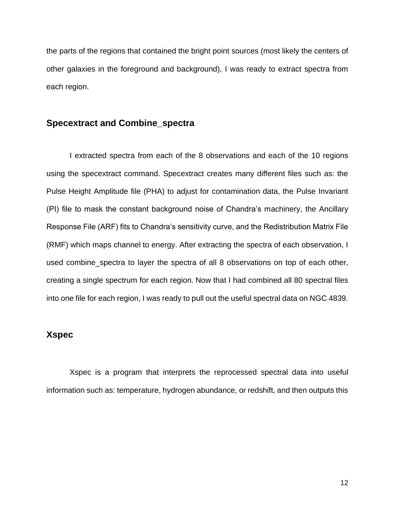the parts of the regions that contained the bright point sources (most likely the centers of other galaxies in the foreground and background), I was ready to extract spectra from each region.

#### **Specextract and Combine\_spectra**

I extracted spectra from each of the 8 observations and each of the 10 regions using the specextract command. Specextract creates many different files such as: the Pulse Height Amplitude file (PHA) to adjust for contamination data, the Pulse Invariant (PI) file to mask the constant background noise of Chandra's machinery, the Ancillary Response File (ARF) fits to Chandra's sensitivity curve, and the Redistribution Matrix File (RMF) which maps channel to energy. After extracting the spectra of each observation, I used combine\_spectra to layer the spectra of all 8 observations on top of each other, creating a single spectrum for each region. Now that I had combined all 80 spectral files into one file for each region, I was ready to pull out the useful spectral data on NGC 4839.

### **Xspec**

Xspec is a program that interprets the reprocessed spectral data into useful information such as: temperature, hydrogen abundance, or redshift, and then outputs this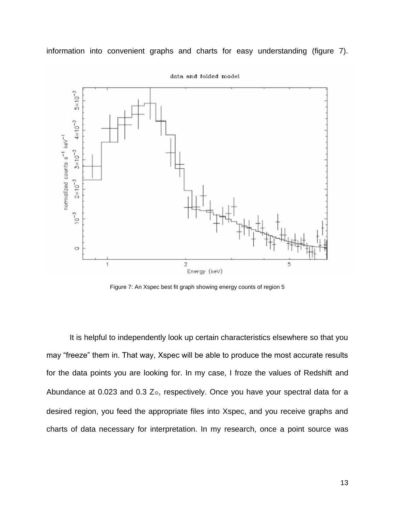

information into convenient graphs and charts for easy understanding (figure 7).

data and folded model

Figure 7: An Xspec best fit graph showing energy counts of region 5

It is helpful to independently look up certain characteristics elsewhere so that you may "freeze" them in. That way, Xspec will be able to produce the most accurate results for the data points you are looking for. In my case, I froze the values of Redshift and Abundance at 0.023 and 0.3  $Z_{\odot}$ , respectively. Once you have your spectral data for a desired region, you feed the appropriate files into Xspec, and you receive graphs and charts of data necessary for interpretation. In my research, once a point source was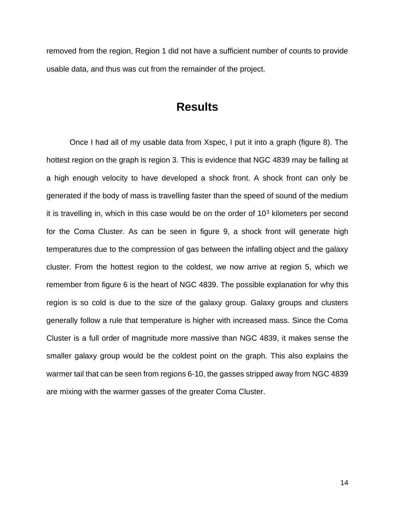removed from the region, Region 1 did not have a sufficient number of counts to provide usable data, and thus was cut from the remainder of the project.

### **Results**

Once I had all of my usable data from Xspec, I put it into a graph (figure 8). The hottest region on the graph is region 3. This is evidence that NGC 4839 may be falling at a high enough velocity to have developed a shock front. A shock front can only be generated if the body of mass is travelling faster than the speed of sound of the medium it is travelling in, which in this case would be on the order of  $10<sup>3</sup>$  kilometers per second for the Coma Cluster. As can be seen in figure 9, a shock front will generate high temperatures due to the compression of gas between the infalling object and the galaxy cluster. From the hottest region to the coldest, we now arrive at region 5, which we remember from figure 6 is the heart of NGC 4839. The possible explanation for why this region is so cold is due to the size of the galaxy group. Galaxy groups and clusters generally follow a rule that temperature is higher with increased mass. Since the Coma Cluster is a full order of magnitude more massive than NGC 4839, it makes sense the smaller galaxy group would be the coldest point on the graph. This also explains the warmer tail that can be seen from regions 6-10, the gasses stripped away from NGC 4839 are mixing with the warmer gasses of the greater Coma Cluster.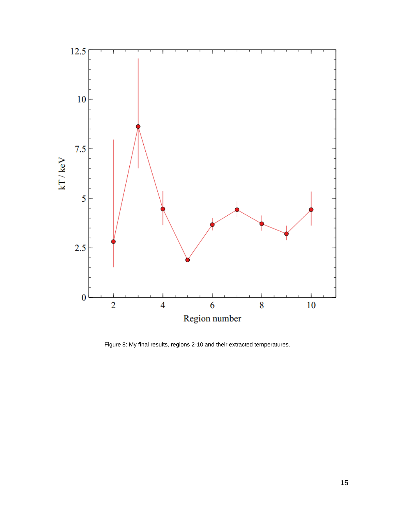

Figure 8: My final results, regions 2-10 and their extracted temperatures.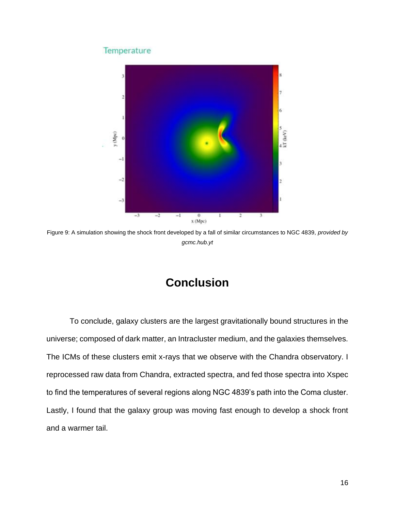#### Temperature



Figure 9: A simulation showing the shock front developed by a fall of similar circumstances to NGC 4839, *provided by gcmc.hub.yt*

## **Conclusion**

To conclude, galaxy clusters are the largest gravitationally bound structures in the universe; composed of dark matter, an Intracluster medium, and the galaxies themselves. The ICMs of these clusters emit x-rays that we observe with the Chandra observatory. I reprocessed raw data from Chandra, extracted spectra, and fed those spectra into Xspec to find the temperatures of several regions along NGC 4839's path into the Coma cluster. Lastly, I found that the galaxy group was moving fast enough to develop a shock front and a warmer tail.